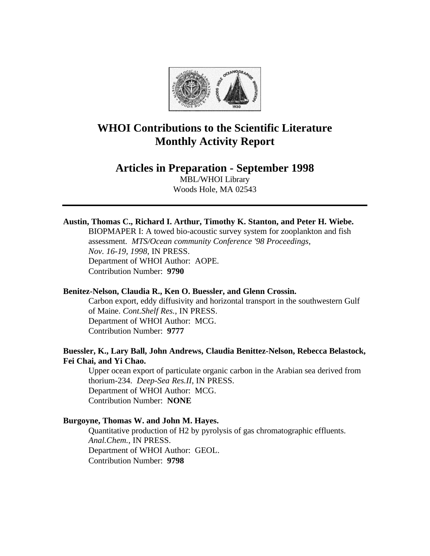

# **WHOI Contributions to the Scientific Literature Monthly Activity Report**

# **Articles in Preparation - September 1998**

MBL/WHOI Library Woods Hole, MA 02543

# **Austin, Thomas C., Richard I. Arthur, Timothy K. Stanton, and Peter H. Wiebe.**

BIOPMAPER I: A towed bio-acoustic survey system for zooplankton and fish assessment. *MTS/Ocean community Conference '98 Proceedings, Nov. 16-19, 1998*, IN PRESS. Department of WHOI Author: AOPE. Contribution Number: **9790**

### **Benitez-Nelson, Claudia R., Ken O. Buessler, and Glenn Crossin.**

Carbon export, eddy diffusivity and horizontal transport in the southwestern Gulf of Maine. *Cont.Shelf Res.*, IN PRESS. Department of WHOI Author: MCG. Contribution Number: **9777**

# **Buessler, K., Lary Ball, John Andrews, Claudia Benittez-Nelson, Rebecca Belastock, Fei Chai, and Yi Chao.**

Upper ocean export of particulate organic carbon in the Arabian sea derived from thorium-234. *Deep-Sea Res.II*, IN PRESS. Department of WHOI Author: MCG. Contribution Number: **NONE**

# **Burgoyne, Thomas W. and John M. Hayes.**

Quantitative production of H2 by pyrolysis of gas chromatographic effluents. *Anal.Chem.*, IN PRESS. Department of WHOI Author: GEOL. Contribution Number: **9798**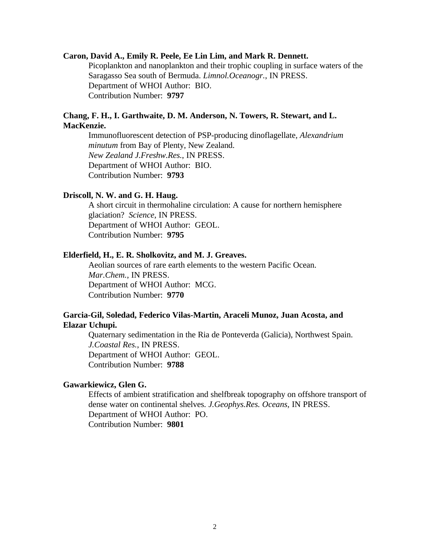#### **Caron, David A., Emily R. Peele, Ee Lin Lim, and Mark R. Dennett.**

Picoplankton and nanoplankton and their trophic coupling in surface waters of the Saragasso Sea south of Bermuda. *Limnol.Oceanogr.*, IN PRESS. Department of WHOI Author: BIO. Contribution Number: **9797**

# **Chang, F. H., I. Garthwaite, D. M. Anderson, N. Towers, R. Stewart, and L. MacKenzie.**

Immunofluorescent detection of PSP-producing dinoflagellate*, Alexandrium minutum* from Bay of Plenty, New Zealand. *New Zealand J.Freshw.Res.*, IN PRESS. Department of WHOI Author: BIO. Contribution Number: **9793**

#### **Driscoll, N. W. and G. H. Haug.**

A short circuit in thermohaline circulation: A cause for northern hemisphere glaciation? *Science*, IN PRESS. Department of WHOI Author: GEOL. Contribution Number: **9795**

# **Elderfield, H., E. R. Sholkovitz, and M. J. Greaves.**

Aeolian sources of rare earth elements to the western Pacific Ocean. *Mar.Chem.*, IN PRESS. Department of WHOI Author: MCG. Contribution Number: **9770**

## **Garcia-Gil, Soledad, Federico Vilas-Martin, Araceli Munoz, Juan Acosta, and Elazar Uchupi.**

Quaternary sedimentation in the Ria de Ponteverda (Galicia), Northwest Spain. *J.Coastal Res.*, IN PRESS. Department of WHOI Author: GEOL. Contribution Number: **9788**

#### **Gawarkiewicz, Glen G.**

Effects of ambient stratification and shelfbreak topography on offshore transport of dense water on continental shelves. *J.Geophys.Res. Oceans*, IN PRESS. Department of WHOI Author: PO. Contribution Number: **9801**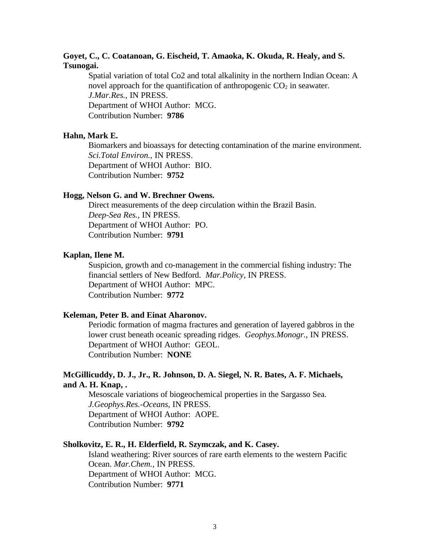# **Goyet, C., C. Coatanoan, G. Eischeid, T. Amaoka, K. Okuda, R. Healy, and S. Tsunogai.**

Spatial variation of total Co2 and total alkalinity in the northern Indian Ocean: A novel approach for the quantification of anthropogenic  $CO<sub>2</sub>$  in seawater. *J.Mar.Res.*, IN PRESS. Department of WHOI Author: MCG. Contribution Number: **9786**

#### **Hahn, Mark E.**

Biomarkers and bioassays for detecting contamination of the marine environment. *Sci.Total Environ.*, IN PRESS. Department of WHOI Author: BIO. Contribution Number: **9752**

#### **Hogg, Nelson G. and W. Brechner Owens.**

Direct measurements of the deep circulation within the Brazil Basin. *Deep-Sea Res.*, IN PRESS. Department of WHOI Author: PO. Contribution Number: **9791**

#### **Kaplan, Ilene M.**

Suspicion, growth and co-management in the commercial fishing industry: The financial settlers of New Bedford. *Mar.Policy*, IN PRESS. Department of WHOI Author: MPC. Contribution Number: **9772**

#### **Keleman, Peter B. and Einat Aharonov.**

Periodic formation of magma fractures and generation of layered gabbros in the lower crust beneath oceanic spreading ridges. *Geophys.Monogr.*, IN PRESS. Department of WHOI Author: GEOL. Contribution Number: **NONE**

# **McGillicuddy, D. J., Jr., R. Johnson, D. A. Siegel, N. R. Bates, A. F. Michaels, and A. H. Knap, .**

Mesoscale variations of biogeochemical properties in the Sargasso Sea. *J.Geophys.Res.-Oceans*, IN PRESS. Department of WHOI Author: AOPE. Contribution Number: **9792**

#### **Sholkovitz, E. R., H. Elderfield, R. Szymczak, and K. Casey.**

Island weathering: River sources of rare earth elements to the western Pacific Ocean. *Mar.Chem.*, IN PRESS. Department of WHOI Author: MCG. Contribution Number: **9771**